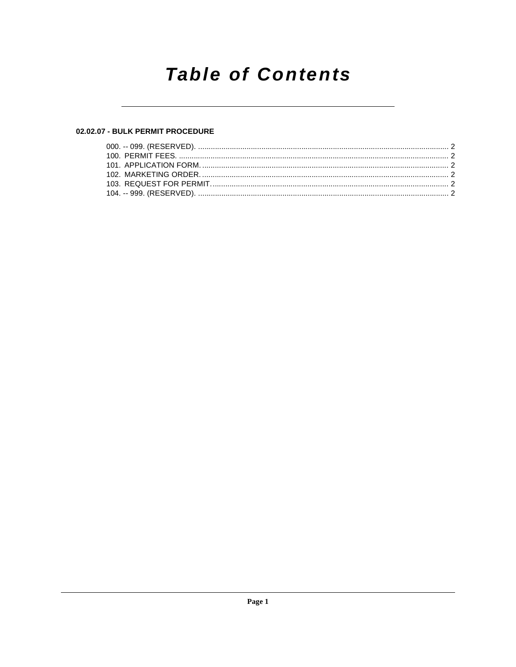## **Table of Contents**

## 02.02.07 - BULK PERMIT PROCEDURE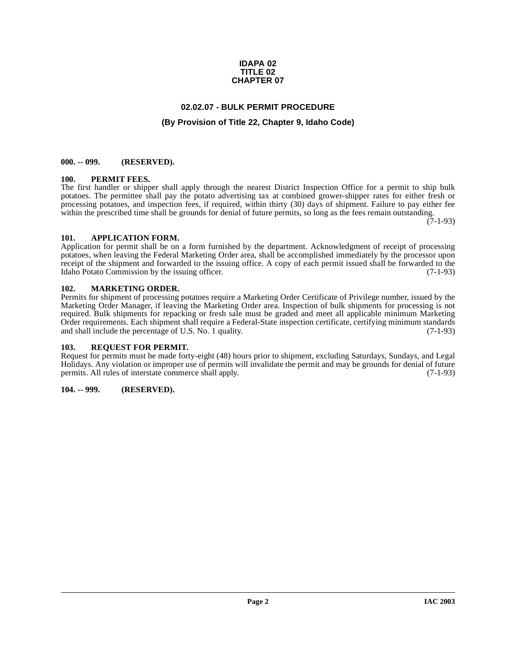#### **IDAPA 02 TITLE 02 CHAPTER 07**

## **02.02.07 - BULK PERMIT PROCEDURE**

### **(By Provision of Title 22, Chapter 9, Idaho Code)**

#### <span id="page-1-1"></span><span id="page-1-0"></span>**000. -- 099. (RESERVED).**

#### <span id="page-1-9"></span><span id="page-1-2"></span>**100. PERMIT FEES.**

The first handler or shipper shall apply through the nearest District Inspection Office for a permit to ship bulk potatoes. The permittee shall pay the potato advertising tax at combined grower-shipper rates for either fresh or processing potatoes, and inspection fees, if required, within thirty (30) days of shipment. Failure to pay either fee within the prescribed time shall be grounds for denial of future permits, so long as the fees remain outstanding.

(7-1-93)

#### <span id="page-1-7"></span><span id="page-1-3"></span>**101. APPLICATION FORM.**

Application for permit shall be on a form furnished by the department. Acknowledgment of receipt of processing potatoes, when leaving the Federal Marketing Order area, shall be accomplished immediately by the processor upon receipt of the shipment and forwarded to the issuing office. A copy of each permit issued shall be forwarded to the Idaho Potato Commission by the issuing officer. Idaho Potato Commission by the issuing officer.

#### <span id="page-1-8"></span><span id="page-1-4"></span>**102. MARKETING ORDER.**

Permits for shipment of processing potatoes require a Marketing Order Certificate of Privilege number, issued by the Marketing Order Manager, if leaving the Marketing Order area. Inspection of bulk shipments for processing is not required. Bulk shipments for repacking or fresh sale must be graded and meet all applicable minimum Marketing Order requirements. Each shipment shall require a Federal-State inspection certificate, certifying minimum standards and shall include the percentage of U.S. No. 1 quality. (7-1-93)

#### <span id="page-1-10"></span><span id="page-1-5"></span>**103. REQUEST FOR PERMIT.**

Request for permits must be made forty-eight (48) hours prior to shipment, excluding Saturdays, Sundays, and Legal Holidays. Any violation or improper use of permits will invalidate the permit and may be grounds for denial of future permits. All rules of interstate commerce shall apply. (7-1-93)

#### <span id="page-1-6"></span>**104. -- 999. (RESERVED).**